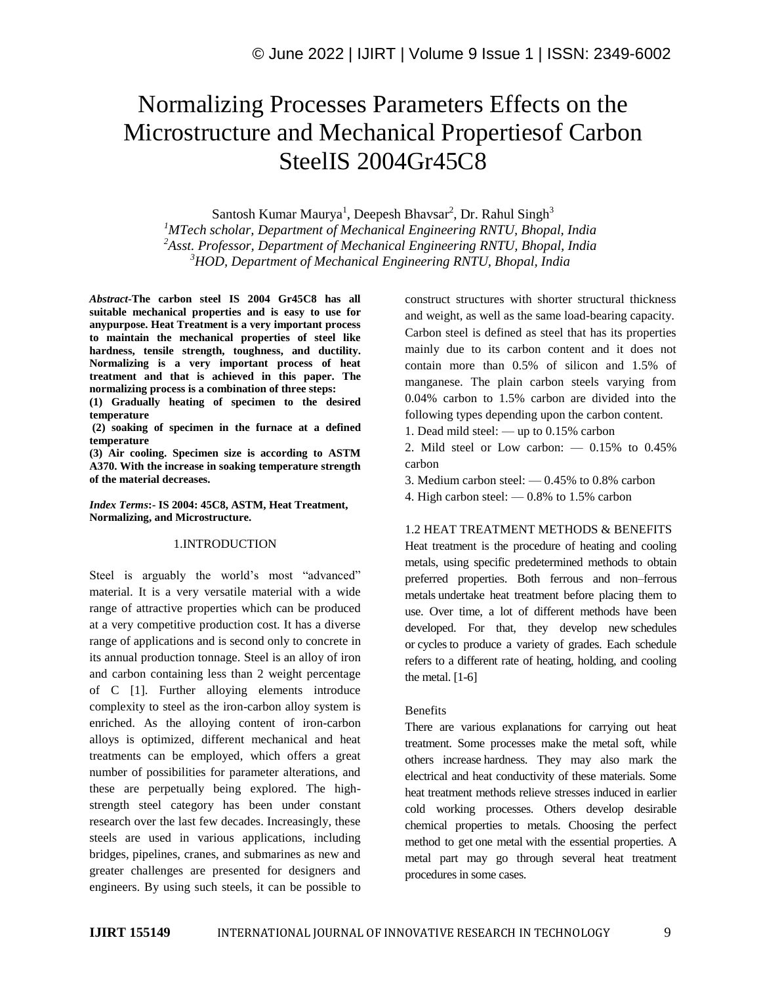# Normalizing Processes Parameters Effects on the Microstructure and Mechanical Propertiesof Carbon SteelIS 2004Gr45C8

Santosh Kumar Maurya<sup>1</sup>, Deepesh Bhavsar<sup>2</sup>, Dr. Rahul Singh<sup>3</sup>

*<sup>1</sup>MTech scholar, Department of Mechanical Engineering RNTU, Bhopal, India <sup>2</sup>Asst. Professor, Department of Mechanical Engineering RNTU, Bhopal, India*

*<sup>3</sup>HOD, Department of Mechanical Engineering RNTU, Bhopal, India*

*Abstract-***The carbon steel IS 2004 Gr45C8 has all suitable mechanical properties and is easy to use for anypurpose. Heat Treatment is a very important process to maintain the mechanical properties of steel like hardness, tensile strength, toughness, and ductility. Normalizing is a very important process of heat treatment and that is achieved in this paper. The normalizing process is a combination of three steps:** 

**(1) Gradually heating of specimen to the desired temperature**

**(2) soaking of specimen in the furnace at a defined temperature** 

**(3) Air cooling. Specimen size is according to ASTM A370. With the increase in soaking temperature strength of the material decreases.**

*Index Terms***:- IS 2004: 45C8, ASTM, Heat Treatment, Normalizing, and Microstructure.**

#### 1.INTRODUCTION

Steel is arguably the world's most "advanced" material. It is a very versatile material with a wide range of attractive properties which can be produced at a very competitive production cost. It has a diverse range of applications and is second only to concrete in its annual production tonnage. Steel is an alloy of iron and carbon containing less than 2 weight percentage of C [1]. Further alloying elements introduce complexity to steel as the iron-carbon alloy system is enriched. As the alloying content of iron-carbon alloys is optimized, different mechanical and heat treatments can be employed, which offers a great number of possibilities for parameter alterations, and these are perpetually being explored. The highstrength steel category has been under constant research over the last few decades. Increasingly, these steels are used in various applications, including bridges, pipelines, cranes, and submarines as new and greater challenges are presented for designers and engineers. By using such steels, it can be possible to

construct structures with shorter structural thickness and weight, as well as the same load-bearing capacity. Carbon steel is defined as steel that has its properties mainly due to its carbon content and it does not contain more than 0.5% of silicon and 1.5% of manganese. The plain carbon steels varying from 0.04% carbon to 1.5% carbon are divided into the following types depending upon the carbon content.

1. Dead mild steel: — up to 0.15% carbon

2. Mild steel or Low carbon: — 0.15% to 0.45% carbon

- 3. Medium carbon steel: 0.45% to 0.8% carbon
- 4. High carbon steel: 0.8% to 1.5% carbon

### 1.2 HEAT TREATMENT METHODS & BENEFITS

Heat treatment is the procedure of heating and cooling metals, using specific predetermined methods to obtain preferred properties. Both ferrous and non–ferrous metals undertake heat treatment before placing them to use. Over time, a lot of different methods have been developed. For that, they develop new schedules or cycles to produce a variety of grades. Each schedule refers to a different rate of heating, holding, and cooling the metal.  $[1-6]$ 

#### Benefits

There are various explanations for carrying out heat treatment. Some processes make the metal soft, while others increase hardness. They may also mark the electrical and heat conductivity of these materials. Some heat treatment methods relieve stresses induced in earlier cold working processes. Others develop desirable chemical properties to metals. Choosing the perfect method to get one metal with the essential properties. A metal part may go through several heat treatment procedures in some cases.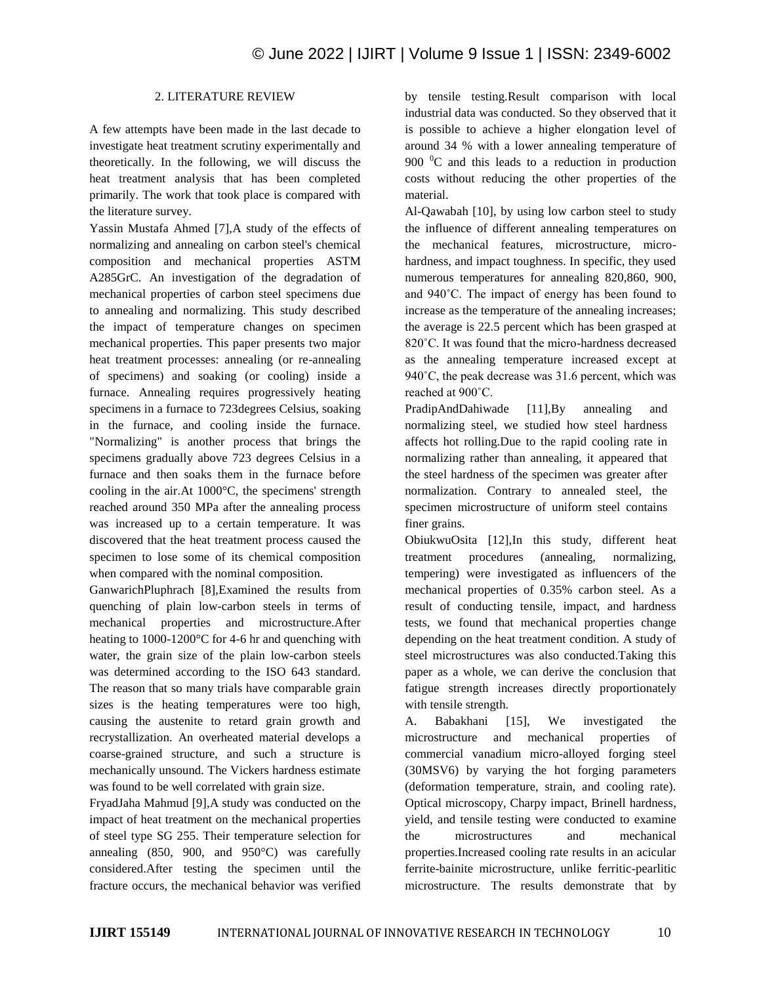## 2. LITERATURE REVIEW

A few attempts have been made in the last decade to investigate heat treatment scrutiny experimentally and theoretically. In the following, we will discuss the heat treatment analysis that has been completed primarily. The work that took place is compared with the literature survey.

Yassin Mustafa Ahmed [7],A study of the effects of normalizing and annealing on carbon steel's chemical composition and mechanical properties ASTM A285GrC. An investigation of the degradation of mechanical properties of carbon steel specimens due to annealing and normalizing. This study described the impact of temperature changes on specimen mechanical properties. This paper presents two major heat treatment processes: annealing (or re-annealing of specimens) and soaking (or cooling) inside a furnace. Annealing requires progressively heating specimens in a furnace to 723degrees Celsius, soaking in the furnace, and cooling inside the furnace. "Normalizing" is another process that brings the specimens gradually above 723 degrees Celsius in a furnace and then soaks them in the furnace before cooling in the air.At 1000°C, the specimens' strength reached around 350 MPa after the annealing process was increased up to a certain temperature. It was discovered that the heat treatment process caused the specimen to lose some of its chemical composition when compared with the nominal composition.

GanwarichPluphrach [8],Examined the results from quenching of plain low-carbon steels in terms of mechanical properties and microstructure.After heating to 1000-1200°C for 4-6 hr and quenching with water, the grain size of the plain low-carbon steels was determined according to the ISO 643 standard. The reason that so many trials have comparable grain sizes is the heating temperatures were too high, causing the austenite to retard grain growth and recrystallization. An overheated material develops a coarse-grained structure, and such a structure is mechanically unsound. The Vickers hardness estimate was found to be well correlated with grain size.

FryadJaha Mahmud [9],A study was conducted on the impact of heat treatment on the mechanical properties of steel type SG 255. Their temperature selection for annealing (850, 900, and 950°C) was carefully considered.After testing the specimen until the fracture occurs, the mechanical behavior was verified

by tensile testing.Result comparison with local industrial data was conducted. So they observed that it is possible to achieve a higher elongation level of around 34 % with a lower annealing temperature of 900  $^{\circ}$ C and this leads to a reduction in production costs without reducing the other properties of the material.

Al-Qawabah [10], by using low carbon steel to study the influence of different annealing temperatures on the mechanical features, microstructure, microhardness, and impact toughness. In specific, they used numerous temperatures for annealing 820,860, 900, and 940˚C. The impact of energy has been found to increase as the temperature of the annealing increases; the average is 22.5 percent which has been grasped at 820˚C. It was found that the micro-hardness decreased as the annealing temperature increased except at 940˚C, the peak decrease was 31.6 percent, which was reached at 900˚C.

PradipAndDahiwade [11],By annealing and normalizing steel, we studied how steel hardness affects hot rolling.Due to the rapid cooling rate in normalizing rather than annealing, it appeared that the steel hardness of the specimen was greater after normalization. Contrary to annealed steel, the specimen microstructure of uniform steel contains finer grains.

ObiukwuOsita [12],In this study, different heat treatment procedures (annealing, normalizing, tempering) were investigated as influencers of the mechanical properties of 0.35% carbon steel. As a result of conducting tensile, impact, and hardness tests, we found that mechanical properties change depending on the heat treatment condition. A study of steel microstructures was also conducted.Taking this paper as a whole, we can derive the conclusion that fatigue strength increases directly proportionately with tensile strength.

A. Babakhani [15], We investigated the microstructure and mechanical properties of commercial vanadium micro-alloyed forging steel (30MSV6) by varying the hot forging parameters (deformation temperature, strain, and cooling rate). Optical microscopy, Charpy impact, Brinell hardness, yield, and tensile testing were conducted to examine the microstructures and mechanical properties.Increased cooling rate results in an acicular ferrite-bainite microstructure, unlike ferritic-pearlitic microstructure. The results demonstrate that by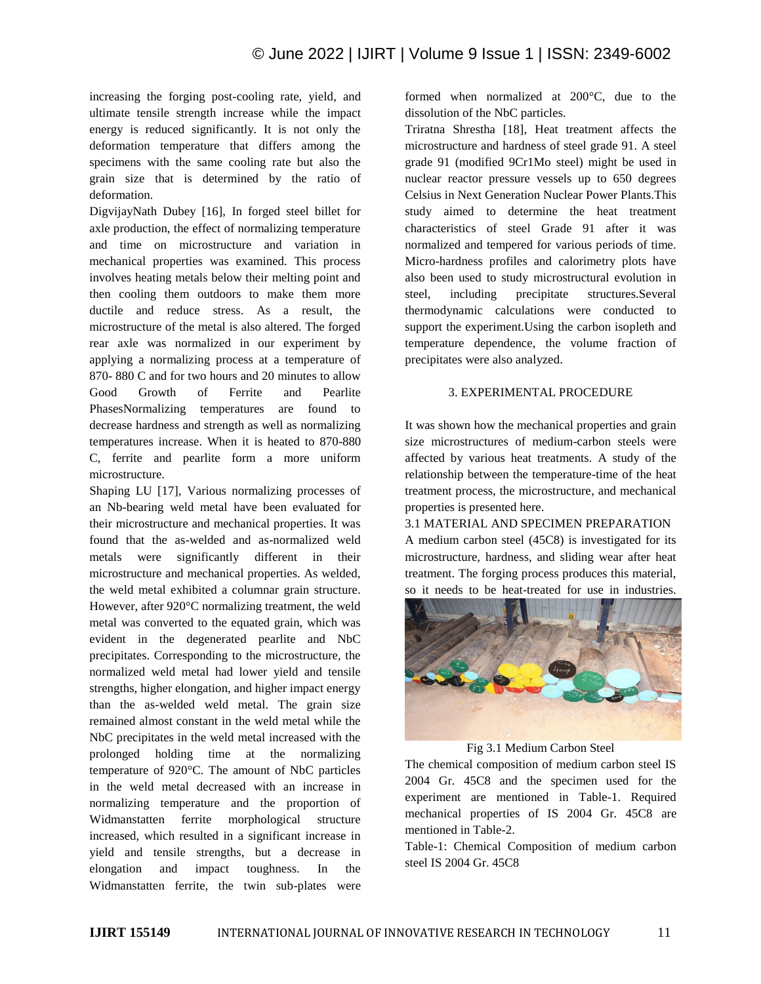increasing the forging post-cooling rate, yield, and ultimate tensile strength increase while the impact energy is reduced significantly. It is not only the deformation temperature that differs among the specimens with the same cooling rate but also the grain size that is determined by the ratio of deformation.

DigvijayNath Dubey [16], In forged steel billet for axle production, the effect of normalizing temperature and time on microstructure and variation in mechanical properties was examined. This process involves heating metals below their melting point and then cooling them outdoors to make them more ductile and reduce stress. As a result, the microstructure of the metal is also altered. The forged rear axle was normalized in our experiment by applying a normalizing process at a temperature of 870- 880 C and for two hours and 20 minutes to allow Good Growth of Ferrite and Pearlite PhasesNormalizing temperatures are found to decrease hardness and strength as well as normalizing temperatures increase. When it is heated to 870-880 C, ferrite and pearlite form a more uniform microstructure.

Shaping LU [17], Various normalizing processes of an Nb-bearing weld metal have been evaluated for their microstructure and mechanical properties. It was found that the as-welded and as-normalized weld metals were significantly different in their microstructure and mechanical properties. As welded, the weld metal exhibited a columnar grain structure. However, after 920°C normalizing treatment, the weld metal was converted to the equated grain, which was evident in the degenerated pearlite and NbC precipitates. Corresponding to the microstructure, the normalized weld metal had lower yield and tensile strengths, higher elongation, and higher impact energy than the as-welded weld metal. The grain size remained almost constant in the weld metal while the NbC precipitates in the weld metal increased with the prolonged holding time at the normalizing temperature of 920°C. The amount of NbC particles in the weld metal decreased with an increase in normalizing temperature and the proportion of Widmanstatten ferrite morphological structure increased, which resulted in a significant increase in yield and tensile strengths, but a decrease in elongation and impact toughness. In the Widmanstatten ferrite, the twin sub-plates were

formed when normalized at 200°C, due to the dissolution of the NbC particles.

Triratna Shrestha [18], Heat treatment affects the microstructure and hardness of steel grade 91. A steel grade 91 (modified 9Cr1Mo steel) might be used in nuclear reactor pressure vessels up to 650 degrees Celsius in Next Generation Nuclear Power Plants.This study aimed to determine the heat treatment characteristics of steel Grade 91 after it was normalized and tempered for various periods of time. Micro-hardness profiles and calorimetry plots have also been used to study microstructural evolution in steel, including precipitate structures.Several thermodynamic calculations were conducted to support the experiment.Using the carbon isopleth and temperature dependence, the volume fraction of precipitates were also analyzed.

# 3. EXPERIMENTAL PROCEDURE

It was shown how the mechanical properties and grain size microstructures of medium-carbon steels were affected by various heat treatments. A study of the relationship between the temperature-time of the heat treatment process, the microstructure, and mechanical properties is presented here.

3.1 MATERIAL AND SPECIMEN PREPARATION A medium carbon steel (45C8) is investigated for its microstructure, hardness, and sliding wear after heat treatment. The forging process produces this material, so it needs to be heat-treated for use in industries.



Fig 3.1 Medium Carbon Steel

The chemical composition of medium carbon steel IS 2004 Gr. 45C8 and the specimen used for the experiment are mentioned in Table-1. Required mechanical properties of IS 2004 Gr. 45C8 are mentioned in Table-2.

Table-1: Chemical Composition of medium carbon steel IS 2004 Gr. 45C8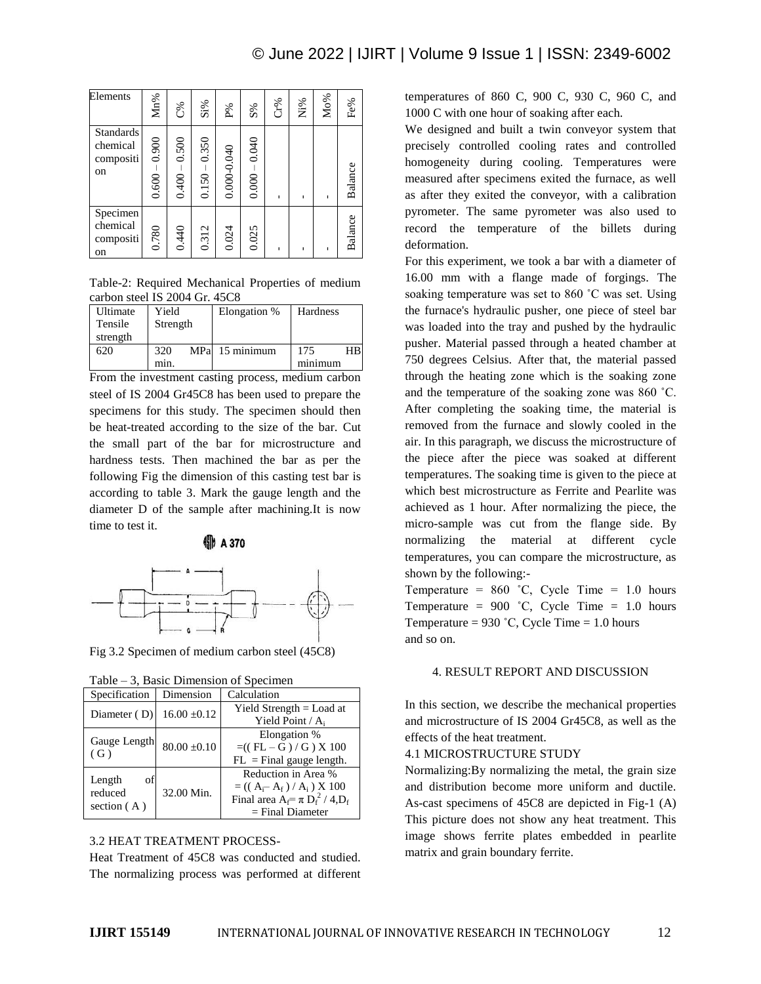| Elements                                        | Mn%             | C%             | $Si\%$             | $\mathbf{P}^{\text{0}}$ | $\mathrm{S}\%$ | Cr% | $Ni\%$ | Mo% | Fe%     |
|-------------------------------------------------|-----------------|----------------|--------------------|-------------------------|----------------|-----|--------|-----|---------|
| <b>Standards</b><br>chemical<br>compositi<br>on | $0.600 - 0.900$ | 0.500<br>0.400 | 0.350<br>$0.150 -$ | 0.000-0.040             | 0.040<br>0.000 | п   | ٠      | ×.  | Balance |
| Specimen<br>chemical<br>compositi<br>on         | 0.780           | 0.440          | 0.312              | 0.024                   | 0.025          | п   | ٠      |     | Balance |

Table-2: Required Mechanical Properties of medium carbon steel IS 2004 Gr. 45C8

| Ultimate | Yield             | Elongation %   | Hardness |  |
|----------|-------------------|----------------|----------|--|
| Tensile  | Strength          |                |          |  |
| strength |                   |                |          |  |
| 620      | 320               | MPa 15 minimum | 175      |  |
|          | m <sub>1</sub> n. |                | minimum  |  |

From the investment casting process, medium carbon steel of IS 2004 Gr45C8 has been used to prepare the specimens for this study. The specimen should then be heat-treated according to the size of the bar. Cut the small part of the bar for microstructure and hardness tests. Then machined the bar as per the following Fig the dimension of this casting test bar is according to table 3. Mark the gauge length and the diameter D of the sample after machining.It is now time to test it.



**45 A 370** 

Fig 3.2 Specimen of medium carbon steel (45C8)

|  |  |  |  |  |  |  | Table $-3$ , Basic Dimension of Specimen |
|--|--|--|--|--|--|--|------------------------------------------|
|--|--|--|--|--|--|--|------------------------------------------|

| Specification                            | Dimension        | Calculation                                                                                                                   |  |  |  |
|------------------------------------------|------------------|-------------------------------------------------------------------------------------------------------------------------------|--|--|--|
| Diameter $(D)$                           | $16.00 \pm 0.12$ | Yield Strength $=$ Load at<br>Yield Point / A.                                                                                |  |  |  |
| Gauge Length<br>(G)                      | $80.00 \pm 0.10$ | Elongation %<br>$= ((FL - G) / G) X 100$<br>$FL = Final gauge length.$                                                        |  |  |  |
| Length<br>οt<br>reduced<br>section $(A)$ | 32.00 Min.       | Reduction in Area %<br>$= ((A_i - A_f) / A_i) \times 100$<br>Final area $A_f = \pi D_f^2 / 4 \cdot D_f$<br>$=$ Final Diameter |  |  |  |

## 3.2 HEAT TREATMENT PROCESS-

Heat Treatment of 45C8 was conducted and studied. The normalizing process was performed at different temperatures of 860 C, 900 C, 930 C, 960 C, and 1000 C with one hour of soaking after each.

We designed and built a twin conveyor system that precisely controlled cooling rates and controlled homogeneity during cooling. Temperatures were measured after specimens exited the furnace, as well as after they exited the conveyor, with a calibration pyrometer. The same pyrometer was also used to record the temperature of the billets during deformation.

For this experiment, we took a bar with a diameter of 16.00 mm with a flange made of forgings. The soaking temperature was set to 860 ˚C was set. Using the furnace's hydraulic pusher, one piece of steel bar was loaded into the tray and pushed by the hydraulic pusher. Material passed through a heated chamber at 750 degrees Celsius. After that, the material passed through the heating zone which is the soaking zone and the temperature of the soaking zone was 860 ˚C. After completing the soaking time, the material is removed from the furnace and slowly cooled in the air. In this paragraph, we discuss the microstructure of the piece after the piece was soaked at different temperatures. The soaking time is given to the piece at which best microstructure as Ferrite and Pearlite was achieved as 1 hour. After normalizing the piece, the micro-sample was cut from the flange side. By normalizing the material at different cycle temperatures, you can compare the microstructure, as shown by the following:-

Temperature =  $860$  °C, Cycle Time = 1.0 hours Temperature =  $900$  °C, Cycle Time = 1.0 hours Temperature =  $930$  °C, Cycle Time = 1.0 hours and so on.

### 4. RESULT REPORT AND DISCUSSION

In this section, we describe the mechanical properties and microstructure of IS 2004 Gr45C8, as well as the effects of the heat treatment.

4.1 MICROSTRUCTURE STUDY

Normalizing:By normalizing the metal, the grain size and distribution become more uniform and ductile. As-cast specimens of 45C8 are depicted in Fig-1 (A) This picture does not show any heat treatment. This image shows ferrite plates embedded in pearlite matrix and grain boundary ferrite.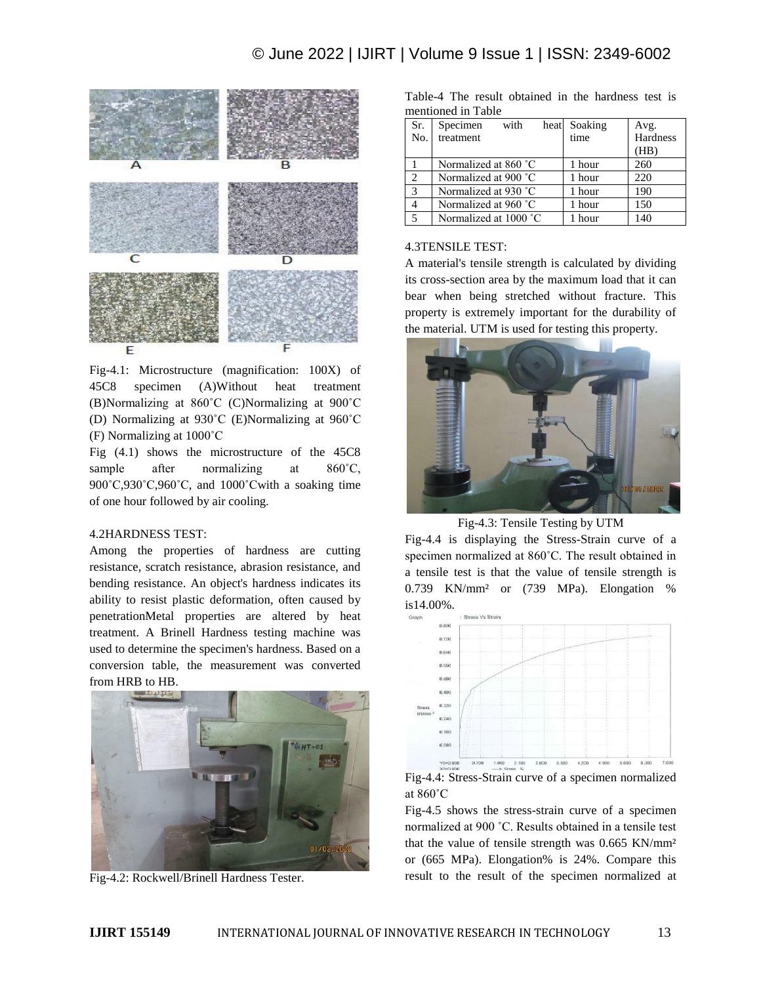

Fig-4.1: Microstructure (magnification: 100X) of 45C8 specimen (A)Without heat treatment (B)Normalizing at 860˚C (C)Normalizing at 900˚C (D) Normalizing at 930˚C (E)Normalizing at 960˚C (F) Normalizing at 1000˚C

Fig (4.1) shows the microstructure of the 45C8 sample after normalizing at 860<sup>°</sup>C, 900˚C,930˚C,960˚C, and 1000˚Cwith a soaking time of one hour followed by air cooling.

## 4.2HARDNESS TEST:

Among the properties of hardness are cutting resistance, scratch resistance, abrasion resistance, and bending resistance. An object's hardness indicates its ability to resist plastic deformation, often caused by penetrationMetal properties are altered by heat treatment. A Brinell Hardness testing machine was used to determine the specimen's hardness. Based on a conversion table, the measurement was converted from HRB to HB.



Fig-4.2: Rockwell/Brinell Hardness Tester.

Table-4 The result obtained in the hardness test is mentioned in Table

| Sr.<br>No.     | with<br>Specimen<br>treatment | Soaking<br>heat<br>time | Avg.<br>Hardness |
|----------------|-------------------------------|-------------------------|------------------|
|                |                               |                         | (HB)             |
|                | Normalized at 860 °C          | 1 hour                  | 260              |
| 2              | Normalized at 900 °C          | 1 hour                  | 220              |
| 3              | Normalized at 930 °C          | 1 hour                  | 190              |
| $\overline{4}$ | Normalized at 960 °C          | 1 hour                  | 150              |
| 5              | Normalized at 1000 °C         | hour                    | 140              |

# 4.3TENSILE TEST:

A material's tensile strength is calculated by dividing its cross-section area by the maximum load that it can bear when being stretched without fracture. This property is extremely important for the durability of the material. UTM is used for testing this property.



Fig-4.3: Tensile Testing by UTM

Fig-4.4 is displaying the Stress-Strain curve of a specimen normalized at 860˚C. The result obtained in a tensile test is that the value of tensile strength is 0.739 KN/mm² or (739 MPa). Elongation % is14.00%.



at 860˚C

Fig-4.5 shows the stress-strain curve of a specimen normalized at 900 ˚C. Results obtained in a tensile test that the value of tensile strength was 0.665 KN/mm² or (665 MPa). Elongation% is 24%. Compare this result to the result of the specimen normalized at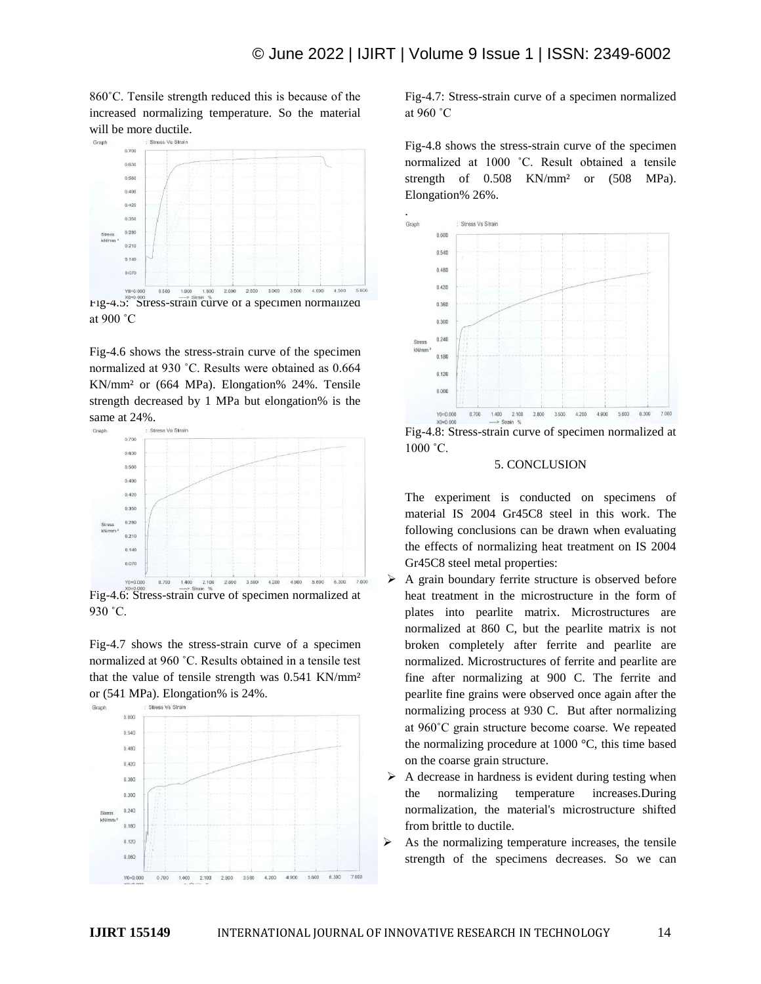860˚C. Tensile strength reduced this is because of the increased normalizing temperature. So the material will be more ductile.



Fig-4.6 shows the stress-strain curve of the specimen normalized at 930 ˚C. Results were obtained as 0.664 KN/mm² or (664 MPa). Elongation% 24%. Tensile strength decreased by 1 MPa but elongation% is the same at 24%.



Fig-4.6: Stress-strain curve of specimen normalized at 930 ˚C.

Fig-4.7 shows the stress-strain curve of a specimen normalized at 960 ˚C. Results obtained in a tensile test that the value of tensile strength was 0.541 KN/mm<sup>2</sup> or (541 MPa). Elongation% is 24%.



Fig-4.7: Stress-strain curve of a specimen normalized at 960 ˚C

Fig-4.8 shows the stress-strain curve of the specimen normalized at 1000 ˚C. Result obtained a tensile strength of 0.508 KN/mm<sup>2</sup> or (508 MPa). Elongation% 26%.



Fig-4.8: Stress-strain curve of specimen normalized at 1000 ˚C.

#### 5. CONCLUSION

The experiment is conducted on specimens of material IS 2004 Gr45C8 steel in this work. The following conclusions can be drawn when evaluating the effects of normalizing heat treatment on IS 2004 Gr45C8 steel metal properties:

- $\triangleright$  A grain boundary ferrite structure is observed before heat treatment in the microstructure in the form of plates into pearlite matrix. Microstructures are normalized at 860 C, but the pearlite matrix is not broken completely after ferrite and pearlite are normalized. Microstructures of ferrite and pearlite are fine after normalizing at 900 C. The ferrite and pearlite fine grains were observed once again after the normalizing process at 930 C. But after normalizing at 960˚C grain structure become coarse. We repeated the normalizing procedure at 1000 °C, this time based on the coarse grain structure.
- $\triangleright$  A decrease in hardness is evident during testing when the normalizing temperature increases.During normalization, the material's microstructure shifted from brittle to ductile.
- As the normalizing temperature increases, the tensile strength of the specimens decreases. So we can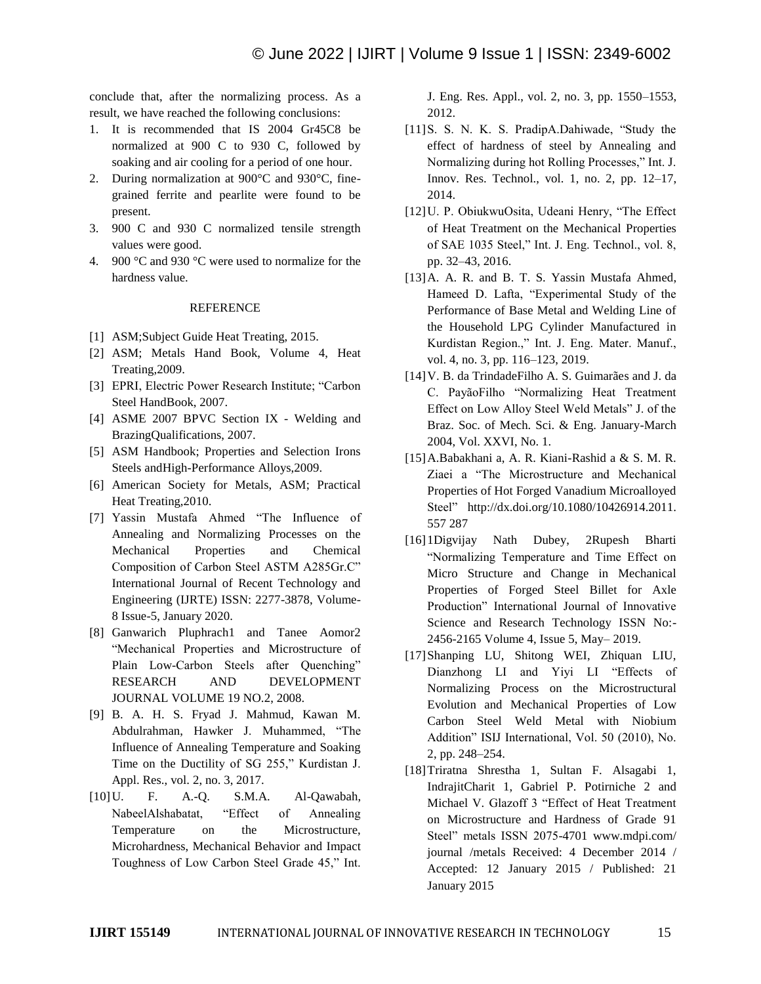conclude that, after the normalizing process. As a result, we have reached the following conclusions:

- 1. It is recommended that IS 2004 Gr45C8 be normalized at 900 C to 930 C, followed by soaking and air cooling for a period of one hour.
- 2. During normalization at 900°C and 930°C, finegrained ferrite and pearlite were found to be present.
- 3. 900 C and 930 C normalized tensile strength values were good.
- 4. 900 °C and 930 °C were used to normalize for the hardness value.

#### REFERENCE

- [1] ASM; Subject Guide Heat Treating, 2015.
- [2] ASM; Metals Hand Book, Volume 4, Heat Treating,2009.
- [3] EPRI, Electric Power Research Institute; "Carbon" Steel HandBook, 2007.
- [4] ASME 2007 BPVC Section IX Welding and BrazingQualifications, 2007.
- [5] ASM Handbook; Properties and Selection Irons Steels andHigh-Performance Alloys,2009.
- [6] American Society for Metals, ASM; Practical Heat Treating,2010.
- [7] Yassin Mustafa Ahmed "The Influence of Annealing and Normalizing Processes on the Mechanical Properties and Chemical Composition of Carbon Steel ASTM A285Gr.C" International Journal of Recent Technology and Engineering (IJRTE) ISSN: 2277-3878, Volume-8 Issue-5, January 2020.
- [8] Ganwarich Pluphrach1 and Tanee Aomor2 "Mechanical Properties and Microstructure of Plain Low-Carbon Steels after Ouenching" RESEARCH AND DEVELOPMENT JOURNAL VOLUME 19 NO.2, 2008.
- [9] B. A. H. S. Fryad J. Mahmud, Kawan M. Abdulrahman, Hawker J. Muhammed, "The Influence of Annealing Temperature and Soaking Time on the Ductility of SG 255," Kurdistan J. Appl. Res., vol. 2, no. 3, 2017.
- [10]U. F. A.-Q. S.M.A. Al-Qawabah, NabeelAlshabatat, "Effect of Annealing Temperature on the Microstructure, Microhardness, Mechanical Behavior and Impact Toughness of Low Carbon Steel Grade 45," Int.

J. Eng. Res. Appl., vol. 2, no. 3, pp. 1550–1553, 2012.

- [11] S. S. N. K. S. PradipA.Dahiwade, "Study the effect of hardness of steel by Annealing and Normalizing during hot Rolling Processes," Int. J. Innov. Res. Technol., vol. 1, no. 2, pp. 12–17, 2014.
- [12] U. P. ObiukwuOsita, Udeani Henry, "The Effect of Heat Treatment on the Mechanical Properties of SAE 1035 Steel," Int. J. Eng. Technol., vol. 8, pp. 32–43, 2016.
- [13] A. A. R. and B. T. S. Yassin Mustafa Ahmed, Hameed D. Lafta, "Experimental Study of the Performance of Base Metal and Welding Line of the Household LPG Cylinder Manufactured in Kurdistan Region.," Int. J. Eng. Mater. Manuf., vol. 4, no. 3, pp. 116–123, 2019.
- [14]V. B. da TrindadeFilho A. S. Guimarães and J. da C. PayãoFilho "Normalizing Heat Treatment Effect on Low Alloy Steel Weld Metals" J. of the Braz. Soc. of Mech. Sci. & Eng. January-March 2004, Vol. XXVI, No. 1.
- [15]A.Babakhani a, A. R. Kiani-Rashid a & S. M. R. Ziaei a "The Microstructure and Mechanical Properties of Hot Forged Vanadium Microalloyed Steel" http://dx.doi.org/10.1080/10426914.2011. 557 287
- [16] 1Digvijay Nath Dubey, 2Rupesh Bharti ―Normalizing Temperature and Time Effect on Micro Structure and Change in Mechanical Properties of Forged Steel Billet for Axle Production" International Journal of Innovative Science and Research Technology ISSN No:- 2456-2165 Volume 4, Issue 5, May– 2019.
- [17]Shanping LU, Shitong WEI, Zhiquan LIU, Dianzhong LI and Yiyi LI "Effects of Normalizing Process on the Microstructural Evolution and Mechanical Properties of Low Carbon Steel Weld Metal with Niobium Addition" ISIJ International, Vol. 50 (2010), No. 2, pp. 248–254.
- [18]Triratna Shrestha 1, Sultan F. Alsagabi 1, IndrajitCharit 1, Gabriel P. Potirniche 2 and Michael V. Glazoff 3 "Effect of Heat Treatment on Microstructure and Hardness of Grade 91 Steel" metals ISSN 2075-4701 www.mdpi.com/ journal /metals Received: 4 December 2014 / Accepted: 12 January 2015 / Published: 21 January 2015